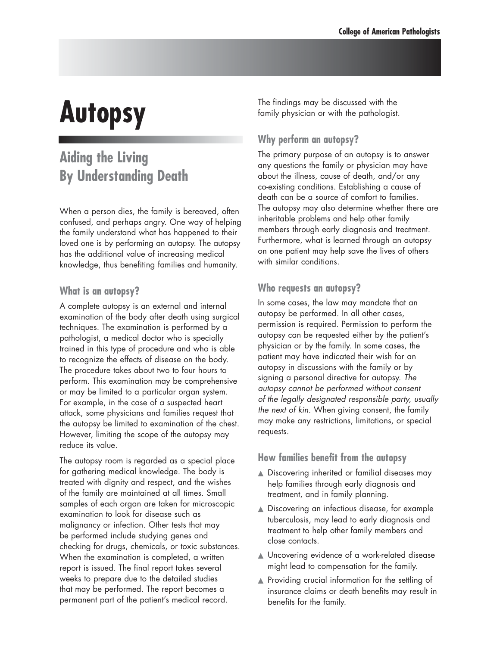# **Autopsy**

## **Aiding the Living By Understanding Death**

When a person dies, the family is bereaved, often confused, and perhaps angry. One way of helping the family understand what has happened to their loved one is by performing an autopsy. The autopsy has the additional value of increasing medical knowledge, thus benefiting families and humanity.

#### **What is an autopsy?**

A complete autopsy is an external and internal examination of the body after death using surgical techniques. The examination is performed by a pathologist, a medical doctor who is specially trained in this type of procedure and who is able to recognize the effects of disease on the body. The procedure takes about two to four hours to perform. This examination may be comprehensive or may be limited to a particular organ system. For example, in the case of a suspected heart attack, some physicians and families request that the autopsy be limited to examination of the chest. However, limiting the scope of the autopsy may reduce its value.

The autopsy room is regarded as a special place for gathering medical knowledge. The body is treated with dignity and respect, and the wishes of the family are maintained at all times. Small samples of each organ are taken for microscopic examination to look for disease such as malignancy or infection. Other tests that may be performed include studying genes and checking for drugs, chemicals, or toxic substances. When the examination is completed, a written report is issued. The final report takes several weeks to prepare due to the detailed studies that may be performed. The report becomes a permanent part of the patient's medical record.

The findings may be discussed with the family physician or with the pathologist.

### **Why perform an autopsy?**

The primary purpose of an autopsy is to answer any questions the family or physician may have about the illness, cause of death, and/or any co-existing conditions. Establishing a cause of death can be a source of comfort to families. The autopsy may also determine whether there are inheritable problems and help other family members through early diagnosis and treatment. Furthermore, what is learned through an autopsy on one patient may help save the lives of others with similar conditions.

#### **Who requests an autopsy?**

In some cases, the law may mandate that an autopsy be performed. In all other cases, permission is required. Permission to perform the autopsy can be requested either by the patient's physician or by the family. In some cases, the patient may have indicated their wish for an autopsy in discussions with the family or by signing a personal directive for autopsy. *The autopsy cannot be performed without consent of the legally designated responsible party, usually the next of kin.* When giving consent, the family may make any restrictions, limitations, or special requests.

#### **How families benefit from the autopsy**

- ▲ Discovering inherited or familial diseases may help families through early diagnosis and treatment, and in family planning.
- ▲ Discovering an infectious disease, for example tuberculosis, may lead to early diagnosis and treatment to help other family members and close contacts.
- ▲ Uncovering evidence of a work-related disease might lead to compensation for the family.
- ▲ Providing crucial information for the settling of insurance claims or death benefits may result in benefits for the family.